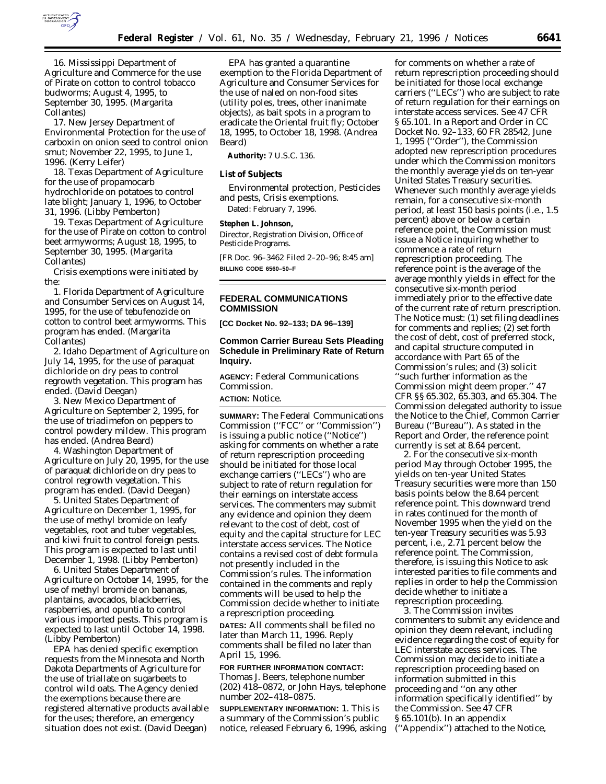

16. Mississippi Department of Agriculture and Commerce for the use of Pirate on cotton to control tobacco budworms; August 4, 1995, to September 30, 1995. (Margarita Collantes)

17. New Jersey Department of Environmental Protection for the use of carboxin on onion seed to control onion smut; November 22, 1995, to June 1, 1996. (Kerry Leifer)

18. Texas Department of Agriculture for the use of propamocarb hydrochloride on potatoes to control late blight; January 1, 1996, to October 31, 1996. (Libby Pemberton)

19. Texas Department of Agriculture for the use of Pirate on cotton to control beet armyworms; August 18, 1995, to September 30, 1995. (Margarita Collantes)

Crisis exemptions were initiated by the:

1. Florida Department of Agriculture and Consumber Services on August 14, 1995, for the use of tebufenozide on cotton to control beet armyworms. This program has ended. (Margarita Collantes)

2. Idaho Department of Agriculture on July 14, 1995, for the use of paraquat dichloride on dry peas to control regrowth vegetation. This program has ended. (David Deegan)

3. New Mexico Department of Agriculture on September 2, 1995, for the use of triadimefon on peppers to control powdery mildew. This program has ended. (Andrea Beard)

4. Washington Department of Agriculture on July 20, 1995, for the use of paraquat dichloride on dry peas to control regrowth vegetation. This program has ended. (David Deegan)

5. United States Department of Agriculture on December 1, 1995, for the use of methyl bromide on leafy vegetables, root and tuber vegetables, and kiwi fruit to control foreign pests. This program is expected to last until December 1, 1998. (Libby Pemberton)

6. United States Department of Agriculture on October 14, 1995, for the use of methyl bromide on bananas, plantains, avocados, blackberries, raspberries, and opuntia to control various imported pests. This program is expected to last until October 14, 1998. (Libby Pemberton)

EPA has denied specific exemption requests from the Minnesota and North Dakota Departments of Agriculture for the use of triallate on sugarbeets to control wild oats. The Agency denied the exemptions because there are registered alternative products available for the uses; therefore, an emergency situation does not exist. (David Deegan)

EPA has granted a quarantine exemption to the Florida Department of Agriculture and Consumer Services for the use of naled on non-food sites (utility poles, trees, other inanimate objects), as bait spots in a program to eradicate the Oriental fruit fly; October 18, 1995, to October 18, 1998. (Andrea Beard)

**Authority:** 7 U.S.C. 136.

#### **List of Subjects**

Environmental protection, Pesticides and pests, Crisis exemptions. Dated: February 7, 1996.

#### **Stephen L. Johnson,**

*Director, Registration Division, Office of Pesticide Programs.*

[FR Doc. 96–3462 Filed 2–20–96; 8:45 am] **BILLING CODE 6560–50–F**

## **FEDERAL COMMUNICATIONS COMMISSION**

**[CC Docket No. 92–133; DA 96–139]**

## **Common Carrier Bureau Sets Pleading Schedule in Preliminary Rate of Return Inquiry.**

**AGENCY:** Federal Communications Commission.

# **ACTION:** Notice.

**SUMMARY:** The Federal Communications Commission (''FCC'' or ''Commission'') is issuing a public notice (''Notice'') asking for comments on whether a rate of return represcription proceeding should be initiated for those local exchange carriers (''LECs'') who are subject to rate of return regulation for their earnings on interstate access services. The commenters may submit any evidence and opinion they deem relevant to the cost of debt, cost of equity and the capital structure for LEC interstate access services. The Notice contains a revised cost of debt formula not presently included in the Commission's rules. The information contained in the comments and reply comments will be used to help the Commission decide whether to initiate a represcription proceeding.

**DATES:** All comments shall be filed no later than March 11, 1996. Reply comments shall be filed no later than April 15, 1996.

**FOR FURTHER INFORMATION CONTACT:** Thomas J. Beers, telephone number (202) 418–0872, or John Hays, telephone number 202–418–0875.

**SUPPLEMENTARY INFORMATION:** 1. This is a summary of the Commission's public notice, released February 6, 1996, asking

for comments on whether a rate of return represcription proceeding should be initiated for those local exchange carriers (''LECs'') who are subject to rate of return regulation for their earnings on interstate access services. See 47 CFR § 65.101. In a *Report and Order* in CC Docket No. 92–133, 60 FR 28542, June 1, 1995 (''Order''), the Commission adopted new represcription procedures under which the Commission monitors the monthly average yields on ten-year United States Treasury securities. Whenever such monthly average yields remain, for a consecutive six-month period, at least 150 basis points (i.e., 1.5 percent) above or below a certain reference point, the Commission must issue a Notice inquiring whether to commence a rate of return represcription proceeding. The reference point is the average of the average monthly yields in effect for the consecutive six-month period immediately prior to the effective date of the current rate of return prescription. The Notice must: (1) set filing deadlines for comments and replies; (2) set forth the cost of debt, cost of preferred stock, and capital structure computed in accordance with Part 65 of the Commission's rules; and (3) solicit ''such further information as the Commission might deem proper.'' 47 CFR §§ 65.302, 65.303, and 65.304. The Commission delegated authority to issue the Notice to the Chief, Common Carrier Bureau (''Bureau''). As stated in the *Report and Order*, the reference point currently is set at 8.64 percent.

2. For the consecutive six-month period May through October 1995, the yields on ten-year United States Treasury securities were more than 150 basis points below the 8.64 percent reference point. This downward trend in rates continued for the month of November 1995 when the yield on the ten-year Treasury securities was 5.93 percent, i.e., 2.71 percent below the reference point. The Commission, therefore, is issuing this Notice to ask interested parities to file comments and replies in order to help the Commission decide whether to initiate a represcription proceeding.

3. The Commission invites commenters to submit any evidence and opinion they deem relevant, including evidence regarding the cost of equity for LEC interstate access services. The Commission may decide to initiate a represcription proceeding based on information submitted in this proceeding and ''on any other information specifically identified'' by the Commission. *See* 47 CFR § 65.101(b). In an appendix (''Appendix'') attached to the Notice,